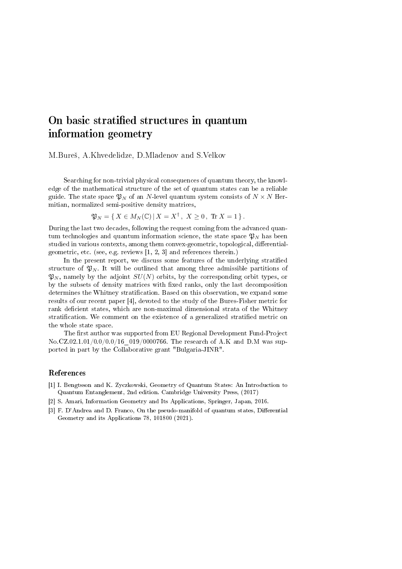## On basic stratified structures in quantum information geometry

M.Bureš, A.Khvedelidze, D.Mladenov and S.Velkov

Searching for non-trivial physical consequences of quantum theory, the knowledge of the mathematical structure of the set of quantum states can be a reliable guide. The state space  $\mathfrak{P}_N$  of an N-level quantum system consists of  $N \times N$  Hermitian, normalized semi-positive density matrices,

$$
\mathfrak{P}_N = \{ X \in M_N(\mathbb{C}) \, | \, X = X^{\dagger}, \ X \ge 0, \ \text{Tr } X = 1 \}.
$$

During the last two decades, following the request coming from the advanced quantum technologies and quantum information science, the state space  $\mathfrak{P}_N$  has been studied in various contexts, among them convex-geometric, topological, differentialgeometric, etc. (see, e.g. reviews [1, 2, 3] and references therein.)

In the present report, we discuss some features of the underlying stratified structure of  $\mathfrak{P}_N$ . It will be outlined that among three admissible partitions of  $\mathfrak{P}_N$ , namely by the adjoint  $SU(N)$  orbits, by the corresponding orbit types, or by the subsets of density matrices with fixed ranks, only the last decomposition determines the Whitney stratification. Based on this observation, we expand some results of our recent paper [4], devoted to the study of the Bures-Fisher metric for rank deficient states, which are non-maximal dimensional strata of the Whitney stratification. We comment on the existence of a generalized stratified metric on the whole state space.

The first author was supported from EU Regional Development Fund-Project No.CZ.02.1.01/0.0/0.0/16 019/0000766. The research of A.K and D.M was supported in part by the Collaborative grant "Bulgaria-JINR".

## References

- [1] I. Bengtsson and K. Zyczkowski, Geometry of Quantum States: An Introduction to Quantum Entanglement, 2nd edition. Cambridge University Press, (2017)
- [2] S. Amari, Information Geometry and Its Applications, Springer, Japan, 2016.
- [3] F. D'Andrea and D. Franco, On the pseudo-manifold of quantum states, Differential Geometry and its Applications 78, 101800 (2021).